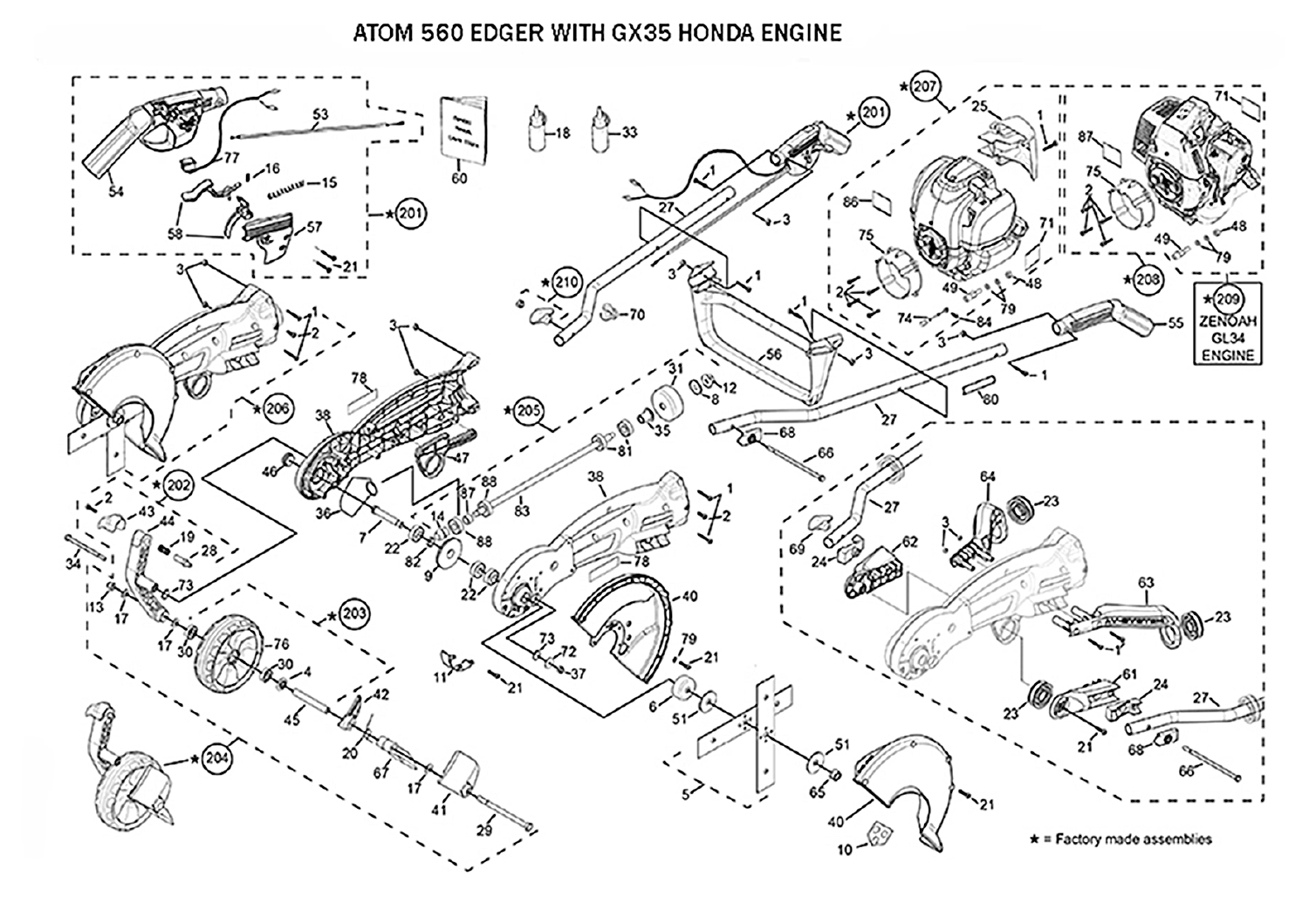## ATOM 560 EDGER WITH GX35 HONDA ENGINE